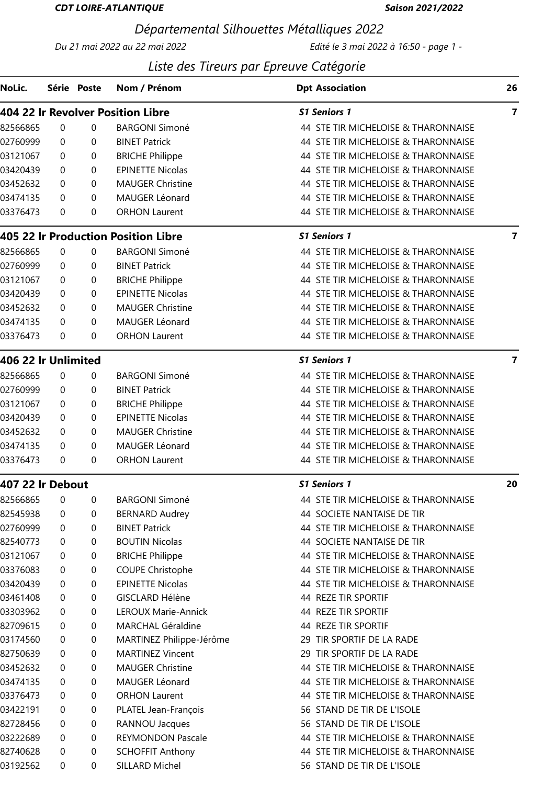### CDT LOIRE-ATLANTIQUE

#### Saison 2021/2022

# Départemental Silhouettes Métalliques 2022

Du 21 mai 2022 au 22 mai 2022 Edité le 3 mai 2022 à 16:50 - page 1 -

## Liste des Tireurs par Epreuve Catégorie

| NoLic.              |             | Série Poste | Nom / Prénom                        | <b>Dpt Association</b>              | 26                      |
|---------------------|-------------|-------------|-------------------------------------|-------------------------------------|-------------------------|
|                     |             |             | 404 22 Ir Revolver Position Libre   | <b>S1 Seniors 1</b>                 | $\overline{\mathbf{z}}$ |
| 82566865            | 0           | 0           | <b>BARGONI Simoné</b>               | 44 STE TIR MICHELOISE & THARONNAISE |                         |
| 02760999            | 0           | 0           | <b>BINET Patrick</b>                | 44 STE TIR MICHELOISE & THARONNAISE |                         |
| 03121067            | 0           | 0           | <b>BRICHE Philippe</b>              | 44 STE TIR MICHELOISE & THARONNAISE |                         |
| 03420439            | $\Omega$    | $\Omega$    | <b>EPINETTE Nicolas</b>             | 44 STE TIR MICHELOISE & THARONNAISE |                         |
| 03452632            | 0           | 0           | <b>MAUGER Christine</b>             | 44 STE TIR MICHELOISE & THARONNAISE |                         |
| 03474135            | $\Omega$    | 0           | MAUGER Léonard                      | 44 STE TIR MICHELOISE & THARONNAISE |                         |
| 03376473            | $\mathbf 0$ | 0           | <b>ORHON Laurent</b>                | 44 STE TIR MICHELOISE & THARONNAISE |                         |
|                     |             |             | 405 22 Ir Production Position Libre | <b>S1 Seniors 1</b>                 | $\overline{7}$          |
| 82566865            | 0           | 0           | <b>BARGONI Simoné</b>               | 44 STE TIR MICHELOISE & THARONNAISE |                         |
| 02760999            | 0           | 0           | <b>BINET Patrick</b>                | 44 STE TIR MICHELOISE & THARONNAISE |                         |
| 03121067            | 0           | 0           | <b>BRICHE Philippe</b>              | 44 STE TIR MICHELOISE & THARONNAISE |                         |
| 03420439            | 0           | 0           | <b>EPINETTE Nicolas</b>             | 44 STE TIR MICHELOISE & THARONNAISE |                         |
| 03452632            | 0           | 0           | <b>MAUGER Christine</b>             | 44 STE TIR MICHELOISE & THARONNAISE |                         |
| 03474135            | 0           | 0           | MAUGER Léonard                      | 44 STE TIR MICHELOISE & THARONNAISE |                         |
| 03376473            | $\Omega$    | 0           | <b>ORHON Laurent</b>                | 44 STE TIR MICHELOISE & THARONNAISE |                         |
| 406 22 Ir Unlimited |             |             |                                     | <b>S1 Seniors 1</b>                 | $\overline{7}$          |
| 82566865            | $\pmb{0}$   | 0           | <b>BARGONI Simoné</b>               | 44 STE TIR MICHELOISE & THARONNAISE |                         |
| 02760999            | 0           | 0           | <b>BINET Patrick</b>                | 44 STE TIR MICHELOISE & THARONNAISE |                         |
| 03121067            | 0           | 0           | <b>BRICHE Philippe</b>              | 44 STE TIR MICHELOISE & THARONNAISE |                         |
| 03420439            | 0           | 0           | <b>EPINETTE Nicolas</b>             | 44 STE TIR MICHELOISE & THARONNAISE |                         |
| 03452632            | 0           | 0           | <b>MAUGER Christine</b>             | 44 STE TIR MICHELOISE & THARONNAISE |                         |
| 03474135            | 0           | 0           | MAUGER Léonard                      | 44 STE TIR MICHELOISE & THARONNAISE |                         |
| 03376473            | 0           | 0           | <b>ORHON Laurent</b>                | 44 STE TIR MICHELOISE & THARONNAISE |                         |
| 407 22 Ir Debout    |             |             |                                     | <b>S1 Seniors 1</b>                 | 20                      |
| 82566865            | 0           | 0           | <b>BARGONI Simoné</b>               | 44 STE TIR MICHELOISE & THARONNAISE |                         |
| 82545938            | 0           | 0           | <b>BERNARD Audrey</b>               | 44 SOCIETE NANTAISE DE TIR          |                         |
| 02760999            | 0           | 0           | <b>BINET Patrick</b>                | 44 STE TIR MICHELOISE & THARONNAISE |                         |
| 82540773            | 0           | 0           | <b>BOUTIN Nicolas</b>               | 44 SOCIETE NANTAISE DE TIR          |                         |
| 03121067            | 0           | 0           | <b>BRICHE Philippe</b>              | 44 STE TIR MICHELOISE & THARONNAISE |                         |
| 03376083            | 0           | 0           | <b>COUPE Christophe</b>             | 44 STE TIR MICHELOISE & THARONNAISE |                         |
| 03420439            | 0           | 0           | <b>EPINETTE Nicolas</b>             | 44 STE TIR MICHELOISE & THARONNAISE |                         |
| 03461408            | 0           | 0           | GISCLARD Hélène                     | 44 REZE TIR SPORTIF                 |                         |
| 03303962            | 0           | 0           | LEROUX Marie-Annick                 | 44 REZE TIR SPORTIF                 |                         |
| 82709615            | 0           | 0           | <b>MARCHAL Géraldine</b>            | 44 REZE TIR SPORTIF                 |                         |
| 03174560            | 0           | 0           | MARTINEZ Philippe-Jérôme            | 29 TIR SPORTIF DE LA RADE           |                         |
| 82750639            | 0           | 0           | <b>MARTINEZ Vincent</b>             | 29 TIR SPORTIF DE LA RADE           |                         |
| 03452632            | 0           | 0           | <b>MAUGER Christine</b>             | 44 STE TIR MICHELOISE & THARONNAISE |                         |
| 03474135            | 0           | 0           | MAUGER Léonard                      | 44 STE TIR MICHELOISE & THARONNAISE |                         |
| 03376473            | 0           | 0           | <b>ORHON Laurent</b>                | 44 STE TIR MICHELOISE & THARONNAISE |                         |
| 03422191            | 0           | 0           | PLATEL Jean-François                | 56 STAND DE TIR DE L'ISOLE          |                         |
| 82728456            | 0           | 0           | RANNOU Jacques                      | 56 STAND DE TIR DE L'ISOLE          |                         |
| 03222689            | 0           | 0           | <b>REYMONDON Pascale</b>            | 44 STE TIR MICHELOISE & THARONNAISE |                         |
| 82740628            | 0           | 0           | <b>SCHOFFIT Anthony</b>             | 44 STE TIR MICHELOISE & THARONNAISE |                         |
| 03192562            | $\mathbf 0$ | 0           | SILLARD Michel                      | 56 STAND DE TIR DE L'ISOLE          |                         |
|                     |             |             |                                     |                                     |                         |